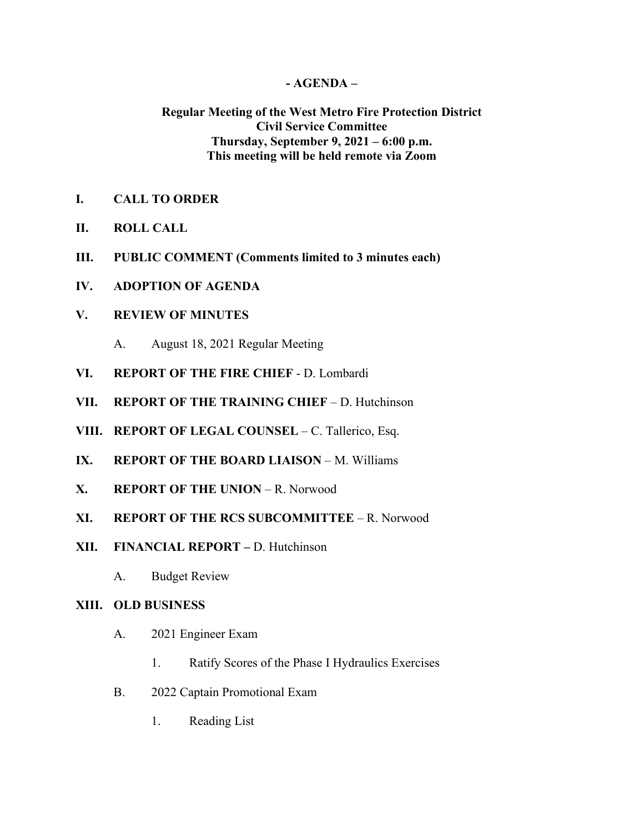## **- AGENDA –**

# **Regular Meeting of the West Metro Fire Protection District Civil Service Committee Thursday, September 9, 2021 – 6:00 p.m. This meeting will be held remote via Zoom**

- **I. CALL TO ORDER**
- **II. ROLL CALL**
- **III. PUBLIC COMMENT (Comments limited to 3 minutes each)**
- **IV. ADOPTION OF AGENDA**

### **V. REVIEW OF MINUTES**

- A. August 18, 2021 Regular Meeting
- **VI. REPORT OF THE FIRE CHIEF**  D. Lombardi
- **VII. REPORT OF THE TRAINING CHIEF** D. Hutchinson
- **VIII. REPORT OF LEGAL COUNSEL** C. Tallerico, Esq.
- **IX. REPORT OF THE BOARD LIAISON** M. Williams
- **X. REPORT OF THE UNION** R. Norwood
- **XI. REPORT OF THE RCS SUBCOMMITTEE** R. Norwood
- **XII. FINANCIAL REPORT –** D. Hutchinson
	- A. Budget Review

#### **XIII. OLD BUSINESS**

- A. 2021 Engineer Exam
	- 1. Ratify Scores of the Phase I Hydraulics Exercises
- B. 2022 Captain Promotional Exam
	- 1. Reading List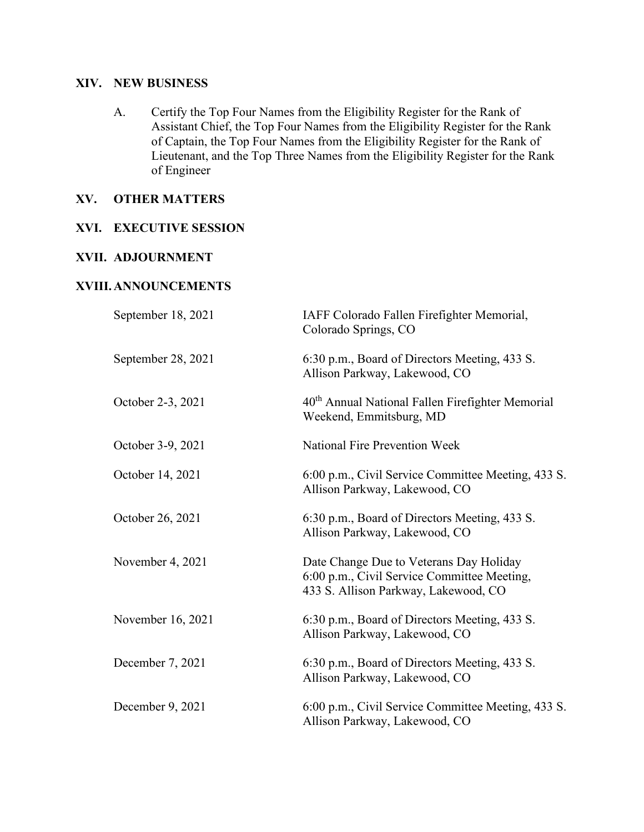## **XIV. NEW BUSINESS**

A. Certify the Top Four Names from the Eligibility Register for the Rank of Assistant Chief, the Top Four Names from the Eligibility Register for the Rank of Captain, the Top Four Names from the Eligibility Register for the Rank of Lieutenant, and the Top Three Names from the Eligibility Register for the Rank of Engineer

# **XV. OTHER MATTERS**

## **XVI. EXECUTIVE SESSION**

#### **XVII. ADJOURNMENT**

#### **XVIII.ANNOUNCEMENTS**

| September 18, 2021 | IAFF Colorado Fallen Firefighter Memorial,<br>Colorado Springs, CO                                                             |
|--------------------|--------------------------------------------------------------------------------------------------------------------------------|
| September 28, 2021 | 6:30 p.m., Board of Directors Meeting, 433 S.<br>Allison Parkway, Lakewood, CO                                                 |
| October 2-3, 2021  | 40 <sup>th</sup> Annual National Fallen Firefighter Memorial<br>Weekend, Emmitsburg, MD                                        |
| October 3-9, 2021  | <b>National Fire Prevention Week</b>                                                                                           |
| October 14, 2021   | 6:00 p.m., Civil Service Committee Meeting, 433 S.<br>Allison Parkway, Lakewood, CO                                            |
| October 26, 2021   | 6:30 p.m., Board of Directors Meeting, 433 S.<br>Allison Parkway, Lakewood, CO                                                 |
| November 4, 2021   | Date Change Due to Veterans Day Holiday<br>6:00 p.m., Civil Service Committee Meeting,<br>433 S. Allison Parkway, Lakewood, CO |
| November 16, 2021  | 6:30 p.m., Board of Directors Meeting, 433 S.<br>Allison Parkway, Lakewood, CO                                                 |
| December 7, 2021   | 6:30 p.m., Board of Directors Meeting, 433 S.<br>Allison Parkway, Lakewood, CO                                                 |
| December 9, 2021   | 6:00 p.m., Civil Service Committee Meeting, 433 S.<br>Allison Parkway, Lakewood, CO                                            |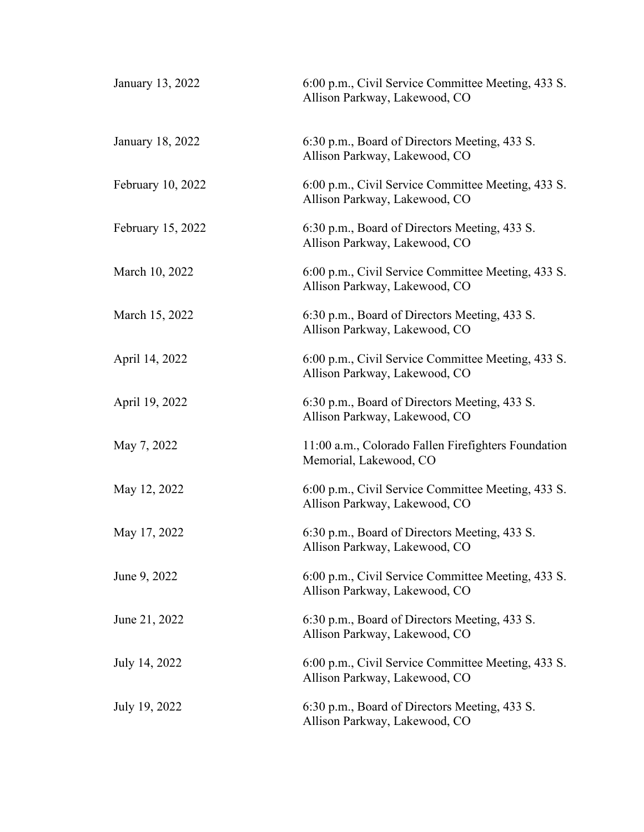| January 13, 2022  | 6:00 p.m., Civil Service Committee Meeting, 433 S.<br>Allison Parkway, Lakewood, CO |
|-------------------|-------------------------------------------------------------------------------------|
| January 18, 2022  | 6:30 p.m., Board of Directors Meeting, 433 S.<br>Allison Parkway, Lakewood, CO      |
| February 10, 2022 | 6:00 p.m., Civil Service Committee Meeting, 433 S.<br>Allison Parkway, Lakewood, CO |
| February 15, 2022 | 6:30 p.m., Board of Directors Meeting, 433 S.<br>Allison Parkway, Lakewood, CO      |
| March 10, 2022    | 6:00 p.m., Civil Service Committee Meeting, 433 S.<br>Allison Parkway, Lakewood, CO |
| March 15, 2022    | 6:30 p.m., Board of Directors Meeting, 433 S.<br>Allison Parkway, Lakewood, CO      |
| April 14, 2022    | 6:00 p.m., Civil Service Committee Meeting, 433 S.<br>Allison Parkway, Lakewood, CO |
| April 19, 2022    | 6:30 p.m., Board of Directors Meeting, 433 S.<br>Allison Parkway, Lakewood, CO      |
| May 7, 2022       | 11:00 a.m., Colorado Fallen Firefighters Foundation<br>Memorial, Lakewood, CO       |
| May 12, 2022      | 6:00 p.m., Civil Service Committee Meeting, 433 S.<br>Allison Parkway, Lakewood, CO |
| May 17, 2022      | 6:30 p.m., Board of Directors Meeting, 433 S.<br>Allison Parkway, Lakewood, CO      |
| June 9, 2022      | 6:00 p.m., Civil Service Committee Meeting, 433 S.<br>Allison Parkway, Lakewood, CO |
| June 21, 2022     | 6:30 p.m., Board of Directors Meeting, 433 S.<br>Allison Parkway, Lakewood, CO      |
| July 14, 2022     | 6:00 p.m., Civil Service Committee Meeting, 433 S.<br>Allison Parkway, Lakewood, CO |
| July 19, 2022     | 6:30 p.m., Board of Directors Meeting, 433 S.<br>Allison Parkway, Lakewood, CO      |